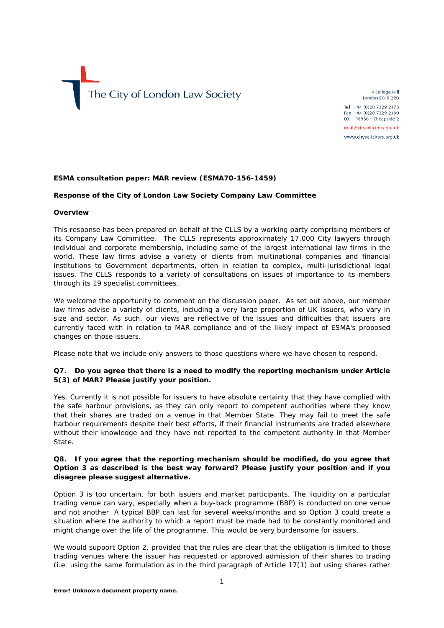

4 College Hill London EC4R 2RB Tel +44 (0)20 7329 2173 Fax +44 (0)20 7329 2190 DX 98936 - Cheapside 2 mail@citysolicitors.org.uk www.citysolicitors.org.uk

#### **ESMA consultation paper: MAR review (ESMA70-156-1459)**

#### **Response of the City of London Law Society Company Law Committee**

#### **Overview**

This response has been prepared on behalf of the CLLS by a working party comprising members of its Company Law Committee. The CLLS represents approximately 17,000 City lawyers through individual and corporate membership, including some of the largest international law firms in the world. These law firms advise a variety of clients from multinational companies and financial institutions to Government departments, often in relation to complex, multi-jurisdictional legal issues. The CLLS responds to a variety of consultations on issues of importance to its members through its 19 specialist committees.

We welcome the opportunity to comment on the discussion paper. As set out above, our member law firms advise a variety of clients, including a very large proportion of UK issuers, who vary in size and sector. As such, our views are reflective of the issues and difficulties that issuers are currently faced with in relation to MAR compliance and of the likely impact of ESMA's proposed changes on those issuers.

Please note that we include only answers to those questions where we have chosen to respond.

### **Q7. Do you agree that there is a need to modify the reporting mechanism under Article 5(3) of MAR? Please justify your position.**

Yes. Currently it is not possible for issuers to have absolute certainty that they have complied with the safe harbour provisions, as they can only report to competent authorities where they know that their shares are traded on a venue in that Member State. They may fail to meet the safe harbour requirements despite their best efforts, if their financial instruments are traded elsewhere without their knowledge and they have not reported to the competent authority in that Member State.

#### **Q8. If you agree that the reporting mechanism should be modified, do you agree that Option 3 as described is the best way forward? Please justify your position and if you disagree please suggest alternative.**

Option 3 is too uncertain, for both issuers and market participants. The liquidity on a particular trading venue can vary, especially when a buy-back programme (BBP) is conducted on one venue and not another. A typical BBP can last for several weeks/months and so Option 3 could create a situation where the authority to which a report must be made had to be constantly monitored and might change over the life of the programme. This would be very burdensome for issuers.

We would support Option 2, provided that the rules are clear that the obligation is limited to those trading venues where the issuer has requested or approved admission of their shares to trading (i.e. using the same formulation as in the third paragraph of Article 17(1) but using shares rather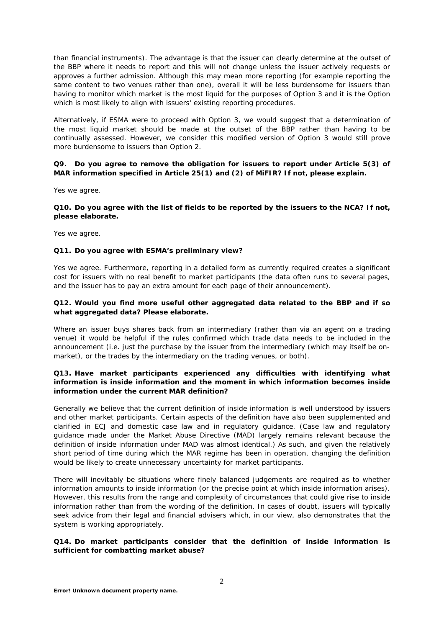than financial instruments). The advantage is that the issuer can clearly determine at the outset of the BBP where it needs to report and this will not change unless the issuer actively requests or approves a further admission. Although this may mean more reporting (for example reporting the same content to two venues rather than one), overall it will be less burdensome for issuers than having to monitor which market is the most liquid for the purposes of Option 3 and it is the Option which is most likely to align with issuers' existing reporting procedures.

Alternatively, if ESMA were to proceed with Option 3, we would suggest that a determination of the most liquid market should be made at the outset of the BBP rather than having to be continually assessed. However, we consider this modified version of Option 3 would still prove more burdensome to issuers than Option 2.

# **Q9. Do you agree to remove the obligation for issuers to report under Article 5(3) of MAR information specified in Article 25(1) and (2) of MiFIR? If not, please explain.**

Yes we agree.

#### **Q10. Do you agree with the list of fields to be reported by the issuers to the NCA? If not, please elaborate.**

Yes we agree.

#### **Q11. Do you agree with ESMA's preliminary view?**

Yes we agree. Furthermore, reporting in a detailed form as currently required creates a significant cost for issuers with no real benefit to market participants (the data often runs to several pages, and the issuer has to pay an extra amount for each page of their announcement).

# **Q12. Would you find more useful other aggregated data related to the BBP and if so what aggregated data? Please elaborate.**

Where an issuer buys shares back from an intermediary (rather than via an agent on a trading venue) it would be helpful if the rules confirmed which trade data needs to be included in the announcement (i.e. just the purchase by the issuer from the intermediary (which may itself be onmarket), or the trades by the intermediary on the trading venues, or both).

### **Q13. Have market participants experienced any difficulties with identifying what information is inside information and the moment in which information becomes inside information under the current MAR definition?**

Generally we believe that the current definition of inside information is well understood by issuers and other market participants. Certain aspects of the definition have also been supplemented and clarified in ECJ and domestic case law and in regulatory guidance. (Case law and regulatory guidance made under the Market Abuse Directive (MAD) largely remains relevant because the definition of inside information under MAD was almost identical.) As such, and given the relatively short period of time during which the MAR regime has been in operation, changing the definition would be likely to create unnecessary uncertainty for market participants.

There will inevitably be situations where finely balanced judgements are required as to whether information amounts to inside information (or the precise point at which inside information arises). However, this results from the range and complexity of circumstances that could give rise to inside information rather than from the wording of the definition. In cases of doubt, issuers will typically seek advice from their legal and financial advisers which, in our view, also demonstrates that the system is working appropriately.

### **Q14. Do market participants consider that the definition of inside information is sufficient for combatting market abuse?**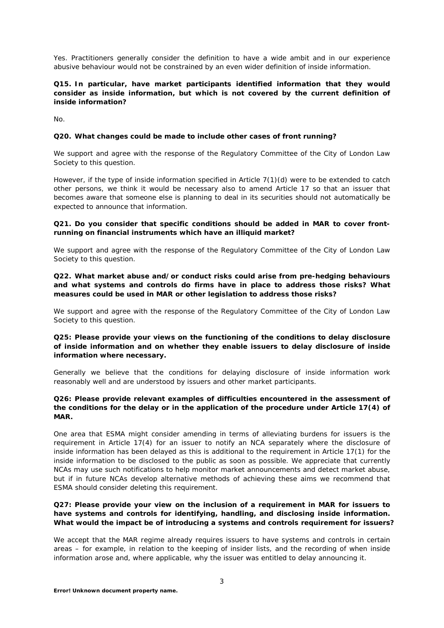Yes. Practitioners generally consider the definition to have a wide ambit and in our experience abusive behaviour would not be constrained by an even wider definition of inside information.

### **Q15. In particular, have market participants identified information that they would consider as inside information, but which is not covered by the current definition of inside information?**

No.

### **Q20. What changes could be made to include other cases of front running?**

We support and agree with the response of the Regulatory Committee of the City of London Law Society to this question.

However, if the type of inside information specified in Article 7(1)(d) were to be extended to catch other persons, we think it would be necessary also to amend Article 17 so that an issuer that becomes aware that someone else is planning to deal in its securities should not automatically be expected to announce that information.

#### **Q21. Do you consider that specific conditions should be added in MAR to cover frontrunning on financial instruments which have an illiquid market?**

We support and agree with the response of the Regulatory Committee of the City of London Law Society to this question.

### **Q22. What market abuse and/or conduct risks could arise from pre-hedging behaviours and what systems and controls do firms have in place to address those risks? What measures could be used in MAR or other legislation to address those risks?**

We support and agree with the response of the Regulatory Committee of the City of London Law Society to this question.

### **Q25: Please provide your views on the functioning of the conditions to delay disclosure of inside information and on whether they enable issuers to delay disclosure of inside information where necessary.**

Generally we believe that the conditions for delaying disclosure of inside information work reasonably well and are understood by issuers and other market participants.

#### **Q26: Please provide relevant examples of difficulties encountered in the assessment of the conditions for the delay or in the application of the procedure under Article 17(4) of MAR.**

One area that ESMA might consider amending in terms of alleviating burdens for issuers is the requirement in Article 17(4) for an issuer to notify an NCA separately where the disclosure of inside information has been delayed as this is additional to the requirement in Article 17(1) for the inside information to be disclosed to the public as soon as possible. We appreciate that currently NCAs may use such notifications to help monitor market announcements and detect market abuse, but if in future NCAs develop alternative methods of achieving these aims we recommend that ESMA should consider deleting this requirement.

### **Q27: Please provide your view on the inclusion of a requirement in MAR for issuers to have systems and controls for identifying, handling, and disclosing inside information. What would the impact be of introducing a systems and controls requirement for issuers?**

We accept that the MAR regime already requires issuers to have systems and controls in certain areas – for example, in relation to the keeping of insider lists, and the recording of when inside information arose and, where applicable, why the issuer was entitled to delay announcing it.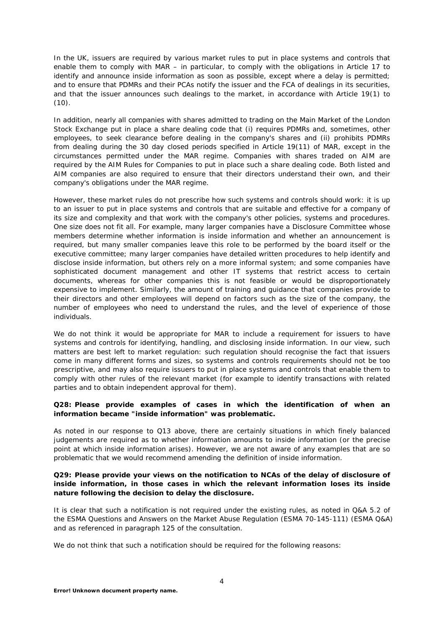In the UK, issuers are required by various market rules to put in place systems and controls that enable them to comply with MAR – in particular, to comply with the obligations in Article 17 to identify and announce inside information as soon as possible, except where a delay is permitted; and to ensure that PDMRs and their PCAs notify the issuer and the FCA of dealings in its securities, and that the issuer announces such dealings to the market, in accordance with Article 19(1) to  $(10).$ 

In addition, nearly all companies with shares admitted to trading on the Main Market of the London Stock Exchange put in place a share dealing code that (i) requires PDMRs and, sometimes, other employees, to seek clearance before dealing in the company's shares and (ii) prohibits PDMRs from dealing during the 30 day closed periods specified in Article 19(11) of MAR, except in the circumstances permitted under the MAR regime. Companies with shares traded on AIM are required by the *AIM Rules for Companies* to put in place such a share dealing code. Both listed and AIM companies are also required to ensure that their directors understand their own, and their company's obligations under the MAR regime.

However, these market rules do not prescribe how such systems and controls should work: it is up to an issuer to put in place systems and controls that are suitable and effective for a company of its size and complexity and that work with the company's other policies, systems and procedures. One size does not fit all. For example, many larger companies have a Disclosure Committee whose members determine whether information is inside information and whether an announcement is required, but many smaller companies leave this role to be performed by the board itself or the executive committee; many larger companies have detailed written procedures to help identify and disclose inside information, but others rely on a more informal system; and some companies have sophisticated document management and other IT systems that restrict access to certain documents, whereas for other companies this is not feasible or would be disproportionately expensive to implement. Similarly, the amount of training and guidance that companies provide to their directors and other employees will depend on factors such as the size of the company, the number of employees who need to understand the rules, and the level of experience of those individuals.

We do not think it would be appropriate for MAR to include a requirement for issuers to have systems and controls for identifying, handling, and disclosing inside information. In our view, such matters are best left to market regulation: such regulation should recognise the fact that issuers come in many different forms and sizes, so systems and controls requirements should not be too prescriptive, and may also require issuers to put in place systems and controls that enable them to comply with other rules of the relevant market (for example to identify transactions with related parties and to obtain independent approval for them).

#### **Q28: Please provide examples of cases in which the identification of when an information became "inside information" was problematic.**

As noted in our response to Q13 above, there are certainly situations in which finely balanced judgements are required as to whether information amounts to inside information (or the precise point at which inside information arises). However, we are not aware of any examples that are so problematic that we would recommend amending the definition of inside information.

### **Q29: Please provide your views on the notification to NCAs of the delay of disclosure of inside information, in those cases in which the relevant information loses its inside nature following the decision to delay the disclosure.**

It is clear that such a notification is not required under the existing rules, as noted in Q&A 5.2 of the ESMA Questions and Answers on the Market Abuse Regulation (ESMA 70-145-111) (ESMA Q&A) and as referenced in paragraph 125 of the consultation.

We do not think that such a notification should be required for the following reasons: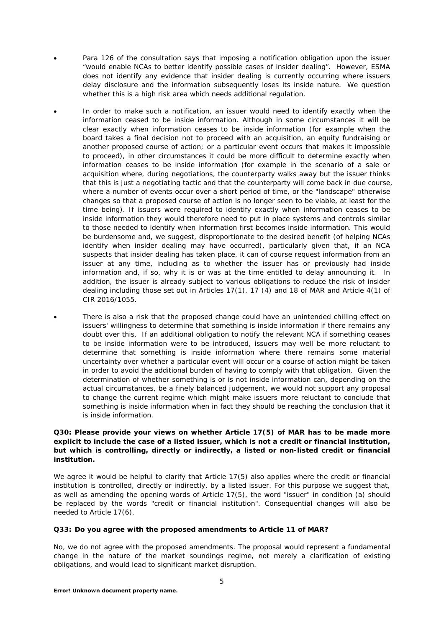- Para 126 of the consultation says that imposing a notification obligation upon the issuer "would enable NCAs to better identify possible cases of insider dealing". However, ESMA does not identify any evidence that insider dealing is currently occurring where issuers delay disclosure and the information subsequently loses its inside nature. We question whether this is a high risk area which needs additional regulation.
- In order to make such a notification, an issuer would need to identify exactly when the information ceased to be inside information. Although in some circumstances it will be clear exactly when information ceases to be inside information (for example when the board takes a final decision not to proceed with an acquisition, an equity fundraising or another proposed course of action; or a particular event occurs that makes it impossible to proceed), in other circumstances it could be more difficult to determine exactly when information ceases to be inside information (for example in the scenario of a sale or acquisition where, during negotiations, the counterparty walks away but the issuer thinks that this is just a negotiating tactic and that the counterparty will come back in due course, where a number of events occur over a short period of time, or the "landscape" otherwise changes so that a proposed course of action is no longer seen to be viable, at least for the time being). If issuers were required to identify exactly when information ceases to be inside information they would therefore need to put in place systems and controls similar to those needed to identify when information first becomes inside information. This would be burdensome and, we suggest, disproportionate to the desired benefit (of helping NCAs identify when insider dealing may have occurred), particularly given that, if an NCA suspects that insider dealing has taken place, it can of course request information from an issuer at any time, including as to whether the issuer has or previously had inside information and, if so, why it is or was at the time entitled to delay announcing it. In addition, the issuer is already subject to various obligations to reduce the risk of insider dealing including those set out in Articles 17(1), 17 (4) and 18 of MAR and Article 4(1) of CIR 2016/1055.

There is also a risk that the proposed change could have an unintended chilling effect on issuers' willingness to determine that something is inside information if there remains any doubt over this. If an additional obligation to notify the relevant NCA if something ceases to be inside information were to be introduced, issuers may well be more reluctant to determine that something is inside information where there remains some material uncertainty over whether a particular event will occur or a course of action might be taken in order to avoid the additional burden of having to comply with that obligation. Given the determination of whether something is or is not inside information can, depending on the actual circumstances, be a finely balanced judgement, we would not support any proposal to change the current regime which might make issuers more reluctant to conclude that something is inside information when in fact they should be reaching the conclusion that it is inside information.

# **Q30: Please provide your views on whether Article 17(5) of MAR has to be made more explicit to include the case of a listed issuer, which is not a credit or financial institution, but which is controlling, directly or indirectly, a listed or non-listed credit or financial institution.**

We agree it would be helpful to clarify that Article 17(5) also applies where the credit or financial institution is controlled, directly or indirectly, by a listed issuer. For this purpose we suggest that, as well as amending the opening words of Article 17(5), the word "issuer" in condition (a) should be replaced by the words "credit or financial institution". Consequential changes will also be needed to Article 17(6).

#### **Q33: Do you agree with the proposed amendments to Article 11 of MAR?**

No, we do not agree with the proposed amendments. The proposal would represent a fundamental change in the nature of the market soundings regime, not merely a clarification of existing obligations, and would lead to significant market disruption.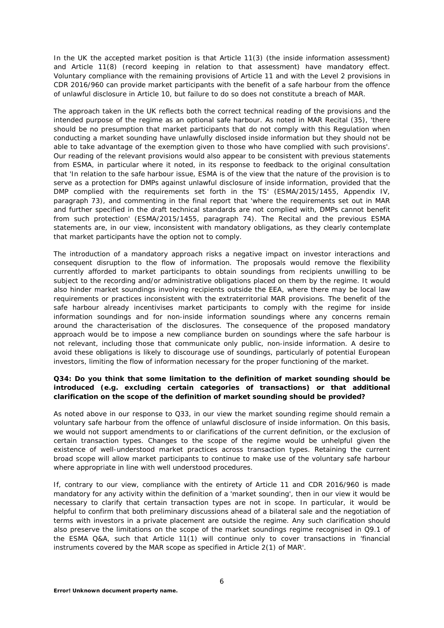In the UK the accepted market position is that Article 11(3) (the inside information assessment) and Article 11(8) (record keeping in relation to that assessment) have mandatory effect. Voluntary compliance with the remaining provisions of Article 11 and with the Level 2 provisions in CDR 2016/960 can provide market participants with the benefit of a safe harbour from the offence of unlawful disclosure in Article 10, but failure to do so does not constitute a breach of MAR.

The approach taken in the UK reflects both the correct technical reading of the provisions and the intended purpose of the regime as an optional safe harbour. As noted in MAR Recital (35), 'there should be no presumption that market participants that do not comply with this Regulation when conducting a market sounding have unlawfully disclosed inside information but they should not be able to take advantage of the exemption given to those who have complied with such provisions'. Our reading of the relevant provisions would also appear to be consistent with previous statements from ESMA, in particular where it noted, in its response to feedback to the original consultation that 'In relation to the safe harbour issue, ESMA is of the view that the nature of the provision is to serve as a protection for DMPs against unlawful disclosure of inside information, provided that the DMP complied with the requirements set forth in the TS' (ESMA/2015/1455, Appendix IV, paragraph 73), and commenting in the final report that 'where the requirements set out in MAR and further specified in the draft technical standards are not complied with, DMPs cannot benefit from such protection' (ESMA/2015/1455, paragraph 74). The Recital and the previous ESMA statements are, in our view, inconsistent with mandatory obligations, as they clearly contemplate that market participants have the option not to comply.

The introduction of a mandatory approach risks a negative impact on investor interactions and consequent disruption to the flow of information. The proposals would remove the flexibility currently afforded to market participants to obtain soundings from recipients unwilling to be subject to the recording and/or administrative obligations placed on them by the regime. It would also hinder market soundings involving recipients outside the EEA, where there may be local law requirements or practices inconsistent with the extraterritorial MAR provisions. The benefit of the safe harbour already incentivises market participants to comply with the regime for inside information soundings and for non-inside information soundings where any concerns remain around the characterisation of the disclosures. The consequence of the proposed mandatory approach would be to impose a new compliance burden on soundings where the safe harbour is not relevant, including those that communicate only public, non-inside information. A desire to avoid these obligations is likely to discourage use of soundings, particularly of potential European investors, limiting the flow of information necessary for the proper functioning of the market.

# **Q34: Do you think that some limitation to the definition of market sounding should be introduced (e.g. excluding certain categories of transactions) or that additional clarification on the scope of the definition of market sounding should be provided?**

As noted above in our response to Q33, in our view the market sounding regime should remain a voluntary safe harbour from the offence of unlawful disclosure of inside information. On this basis, we would not support amendments to or clarifications of the current definition, or the exclusion of certain transaction types. Changes to the scope of the regime would be unhelpful given the existence of well-understood market practices across transaction types. Retaining the current broad scope will allow market participants to continue to make use of the voluntary safe harbour where appropriate in line with well understood procedures.

If, contrary to our view, compliance with the entirety of Article 11 and CDR 2016/960 is made mandatory for any activity within the definition of a 'market sounding', then in our view it would be necessary to clarify that certain transaction types are not in scope. In particular, it would be helpful to confirm that both preliminary discussions ahead of a bilateral sale and the negotiation of terms with investors in a private placement are outside the regime. Any such clarification should also preserve the limitations on the scope of the market soundings regime recognised in Q9.1 of the ESMA Q&A, such that Article 11(1) will continue only to cover transactions in 'financial instruments covered by the MAR scope as specified in Article 2(1) of MAR'.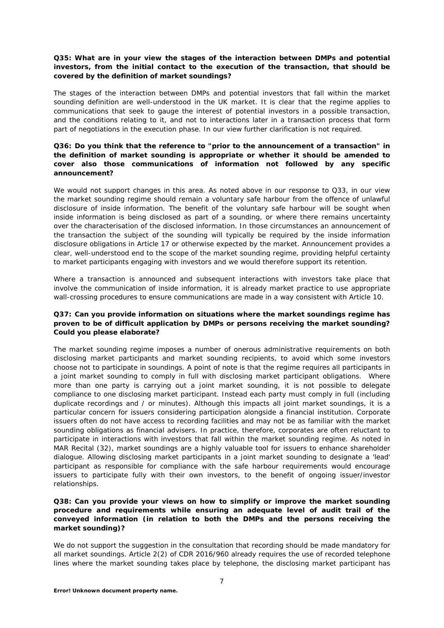### **Q35: What are in your view the stages of the interaction between DMPs and potential investors, from the initial contact to the execution of the transaction, that should be covered by the definition of market soundings?**

The stages of the interaction between DMPs and potential investors that fall within the market sounding definition are well-understood in the UK market. It is clear that the regime applies to communications that seek to gauge the interest of potential investors in a possible transaction, and the conditions relating to it, and not to interactions later in a transaction process that form part of negotiations in the execution phase. In our view further clarification is not required.

### **Q36: Do you think that the reference to "prior to the announcement of a transaction" in the definition of market sounding is appropriate or whether it should be amended to cover also those communications of information not followed by any specific announcement?**

We would not support changes in this area. As noted above in our response to Q33, in our view the market sounding regime should remain a voluntary safe harbour from the offence of unlawful disclosure of inside information. The benefit of the voluntary safe harbour will be sought when inside information is being disclosed as part of a sounding, or where there remains uncertainty over the characterisation of the disclosed information. In those circumstances an announcement of the transaction the subject of the sounding will typically be required by the inside information disclosure obligations in Article 17 or otherwise expected by the market. Announcement provides a clear, well-understood end to the scope of the market sounding regime, providing helpful certainty to market participants engaging with investors and we would therefore support its retention.

Where a transaction is announced and subsequent interactions with investors take place that involve the communication of inside information, it is already market practice to use appropriate wall-crossing procedures to ensure communications are made in a way consistent with Article 10.

### **Q37: Can you provide information on situations where the market soundings regime has proven to be of difficult application by DMPs or persons receiving the market sounding? Could you please elaborate?**

The market sounding regime imposes a number of onerous administrative requirements on both disclosing market participants and market sounding recipients, to avoid which some investors choose not to participate in soundings. A point of note is that the regime requires all participants in a joint market sounding to comply in full with disclosing market participant obligations. Where more than one party is carrying out a joint market sounding, it is not possible to delegate compliance to one disclosing market participant. Instead each party must comply in full (including duplicate recordings and / or minutes). Although this impacts all joint market soundings, it is a particular concern for issuers considering participation alongside a financial institution. Corporate issuers often do not have access to recording facilities and may not be as familiar with the market sounding obligations as financial advisers. In practice, therefore, corporates are often reluctant to participate in interactions with investors that fall within the market sounding regime. As noted in MAR Recital (32), market soundings are a highly valuable tool for issuers to enhance shareholder dialogue. Allowing disclosing market participants in a joint market sounding to designate a 'lead' participant as responsible for compliance with the safe harbour requirements would encourage issuers to participate fully with their own investors, to the benefit of ongoing issuer/investor relationships.

# **Q38: Can you provide your views on how to simplify or improve the market sounding procedure and requirements while ensuring an adequate level of audit trail of the conveyed information (in relation to both the DMPs and the persons receiving the market sounding)?**

We do not support the suggestion in the consultation that recording should be made mandatory for all market soundings. Article 2(2) of CDR 2016/960 already requires the use of recorded telephone lines where the market sounding takes place by telephone, the disclosing market participant has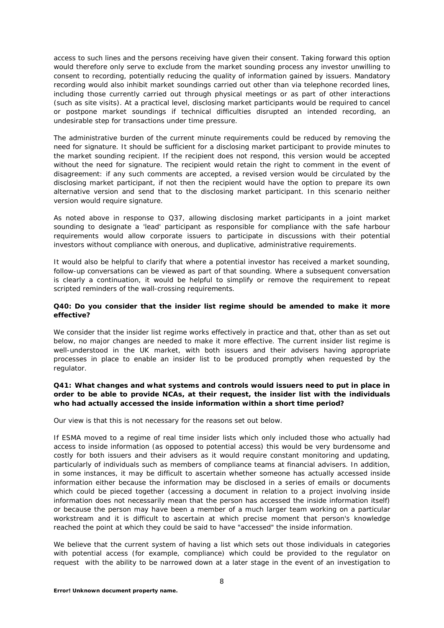access to such lines and the persons receiving have given their consent. Taking forward this option would therefore only serve to exclude from the market sounding process any investor unwilling to consent to recording, potentially reducing the quality of information gained by issuers. Mandatory recording would also inhibit market soundings carried out other than via telephone recorded lines, including those currently carried out through physical meetings or as part of other interactions (such as site visits). At a practical level, disclosing market participants would be required to cancel or postpone market soundings if technical difficulties disrupted an intended recording, an undesirable step for transactions under time pressure.

The administrative burden of the current minute requirements could be reduced by removing the need for signature. It should be sufficient for a disclosing market participant to provide minutes to the market sounding recipient. If the recipient does not respond, this version would be accepted without the need for signature. The recipient would retain the right to comment in the event of disagreement: if any such comments are accepted, a revised version would be circulated by the disclosing market participant, if not then the recipient would have the option to prepare its own alternative version and send that to the disclosing market participant. In this scenario neither version would require signature.

As noted above in response to Q37, allowing disclosing market participants in a joint market sounding to designate a 'lead' participant as responsible for compliance with the safe harbour requirements would allow corporate issuers to participate in discussions with their potential investors without compliance with onerous, and duplicative, administrative requirements.

It would also be helpful to clarify that where a potential investor has received a market sounding, follow-up conversations can be viewed as part of that sounding. Where a subsequent conversation is clearly a continuation, it would be helpful to simplify or remove the requirement to repeat scripted reminders of the wall-crossing requirements.

### **Q40: Do you consider that the insider list regime should be amended to make it more effective?**

We consider that the insider list regime works effectively in practice and that, other than as set out below, no major changes are needed to make it more effective. The current insider list regime is well-understood in the UK market, with both issuers and their advisers having appropriate processes in place to enable an insider list to be produced promptly when requested by the regulator.

# **Q41: What changes and what systems and controls would issuers need to put in place in order to be able to provide NCAs, at their request, the insider list with the individuals who had actually accessed the inside information within a short time period?**

Our view is that this is not necessary for the reasons set out below.

If ESMA moved to a regime of real time insider lists which only included those who actually had access to inside information (as opposed to potential access) this would be very burdensome and costly for both issuers and their advisers as it would require constant monitoring and updating, particularly of individuals such as members of compliance teams at financial advisers. In addition, in some instances, it may be difficult to ascertain whether someone has actually accessed inside information either because the information may be disclosed in a series of emails or documents which could be pieced together (accessing a document in relation to a project involving inside information does not necessarily mean that the person has accessed the inside information itself) or because the person may have been a member of a much larger team working on a particular workstream and it is difficult to ascertain at which precise moment that person's knowledge reached the point at which they could be said to have "accessed" the inside information.

We believe that the current system of having a list which sets out those individuals in categories with potential access (for example, compliance) which could be provided to the regulator on request with the ability to be narrowed down at a later stage in the event of an investigation to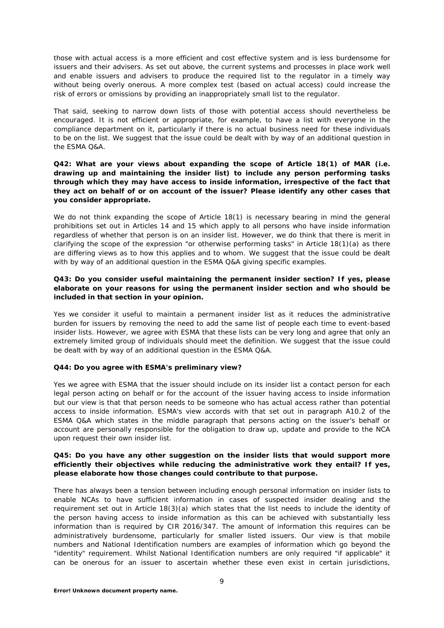those with actual access is a more efficient and cost effective system and is less burdensome for issuers and their advisers. As set out above, the current systems and processes in place work well and enable issuers and advisers to produce the required list to the regulator in a timely way without being overly onerous. A more complex test (based on actual access) could increase the risk of errors or omissions by providing an inappropriately small list to the regulator.

That said, seeking to narrow down lists of those with potential access should nevertheless be encouraged. It is not efficient or appropriate, for example, to have a list with everyone in the compliance department on it, particularly if there is no actual business need for these individuals to be on the list. We suggest that the issue could be dealt with by way of an additional question in the ESMA Q&A.

### **Q42: What are your views about expanding the scope of Article 18(1) of MAR (i.e. drawing up and maintaining the insider list) to include any person performing tasks through which they may have access to inside information, irrespective of the fact that they act on behalf of or on account of the issuer? Please identify any other cases that you consider appropriate.**

We do not think expanding the scope of Article 18(1) is necessary bearing in mind the general prohibitions set out in Articles 14 and 15 which apply to all persons who have inside information regardless of whether that person is on an insider list. However, we do think that there is merit in clarifying the scope of the expression "or otherwise performing tasks" in Article 18(1)(a) as there are differing views as to how this applies and to whom. We suggest that the issue could be dealt with by way of an additional question in the ESMA Q&A giving specific examples.

### **Q43: Do you consider useful maintaining the permanent insider section? If yes, please elaborate on your reasons for using the permanent insider section and who should be included in that section in your opinion.**

Yes we consider it useful to maintain a permanent insider list as it reduces the administrative burden for issuers by removing the need to add the same list of people each time to event-based insider lists. However, we agree with ESMA that these lists can be very long and agree that only an extremely limited group of individuals should meet the definition. We suggest that the issue could be dealt with by way of an additional question in the ESMA Q&A.

#### **Q44: Do you agree with ESMA's preliminary view?**

Yes we agree with ESMA that the issuer should include on its insider list a contact person for each legal person acting on behalf or for the account of the issuer having access to inside information but our view is that that person needs to be someone who has actual access rather than potential access to inside information. ESMA's view accords with that set out in paragraph A10.2 of the ESMA Q&A which states in the middle paragraph that persons acting on the issuer's behalf or account are personally responsible for the obligation to draw up, update and provide to the NCA upon request their own insider list.

### **Q45: Do you have any other suggestion on the insider lists that would support more efficiently their objectives while reducing the administrative work they entail? If yes, please elaborate how those changes could contribute to that purpose.**

There has always been a tension between including enough personal information on insider lists to enable NCAs to have sufficient information in cases of suspected insider dealing and the requirement set out in Article 18(3)(a) which states that the list needs to include the identity of the person having access to inside information as this can be achieved with substantially less information than is required by CIR 2016/347. The amount of information this requires can be administratively burdensome, particularly for smaller listed issuers. Our view is that mobile numbers and National Identification numbers are examples of information which go beyond the "identity" requirement. Whilst National Identification numbers are only required "if applicable" it can be onerous for an issuer to ascertain whether these even exist in certain jurisdictions,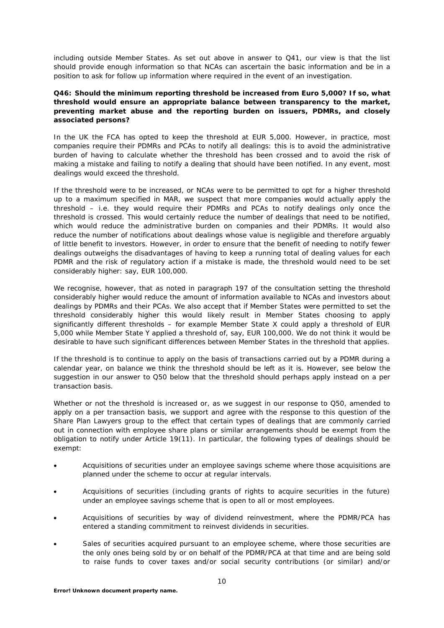including outside Member States. As set out above in answer to Q41, our view is that the list should provide enough information so that NCAs can ascertain the basic information and be in a position to ask for follow up information where required in the event of an investigation.

### **Q46: Should the minimum reporting threshold be increased from Euro 5,000? If so, what threshold would ensure an appropriate balance between transparency to the market, preventing market abuse and the reporting burden on issuers, PDMRs, and closely associated persons?**

In the UK the FCA has opted to keep the threshold at EUR 5,000. However, in practice, most companies require their PDMRs and PCAs to notify all dealings: this is to avoid the administrative burden of having to calculate whether the threshold has been crossed and to avoid the risk of making a mistake and failing to notify a dealing that should have been notified. In any event, most dealings would exceed the threshold.

If the threshold were to be increased, or NCAs were to be permitted to opt for a higher threshold up to a maximum specified in MAR, we suspect that more companies would actually apply the threshold – i.e. they would require their PDMRs and PCAs to notify dealings only once the threshold is crossed. This would certainly reduce the number of dealings that need to be notified, which would reduce the administrative burden on companies and their PDMRs. It would also reduce the number of notifications about dealings whose value is negligible and therefore arguably of little benefit to investors. However, in order to ensure that the benefit of needing to notify fewer dealings outweighs the disadvantages of having to keep a running total of dealing values for each PDMR and the risk of regulatory action if a mistake is made, the threshold would need to be set considerably higher: say, EUR 100,000.

We recognise, however, that as noted in paragraph 197 of the consultation setting the threshold considerably higher would reduce the amount of information available to NCAs and investors about dealings by PDMRs and their PCAs. We also accept that if Member States were permitted to set the threshold considerably higher this would likely result in Member States choosing to apply significantly different thresholds – for example Member State X could apply a threshold of EUR 5,000 while Member State Y applied a threshold of, say, EUR 100,000. We do not think it would be desirable to have such significant differences between Member States in the threshold that applies.

If the threshold is to continue to apply on the basis of transactions carried out by a PDMR during a calendar year, on balance we think the threshold should be left as it is. However, see below the suggestion in our answer to Q50 below that the threshold should perhaps apply instead on a per transaction basis.

Whether or not the threshold is increased or, as we suggest in our response to Q50, amended to apply on a per transaction basis, we support and agree with the response to this question of the Share Plan Lawyers group to the effect that certain types of dealings that are commonly carried out in connection with employee share plans or similar arrangements should be exempt from the obligation to notify under Article 19(11). In particular, the following types of dealings should be exempt:

- Acquisitions of securities under an employee savings scheme where those acquisitions are planned under the scheme to occur at regular intervals.
- Acquisitions of securities (including grants of rights to acquire securities in the future) under an employee savings scheme that is open to all or most employees.
- Acquisitions of securities by way of dividend reinvestment, where the PDMR/PCA has entered a standing commitment to reinvest dividends in securities.
- Sales of securities acquired pursuant to an employee scheme, where those securities are the only ones being sold by or on behalf of the PDMR/PCA at that time and are being sold to raise funds to cover taxes and/or social security contributions (or similar) and/or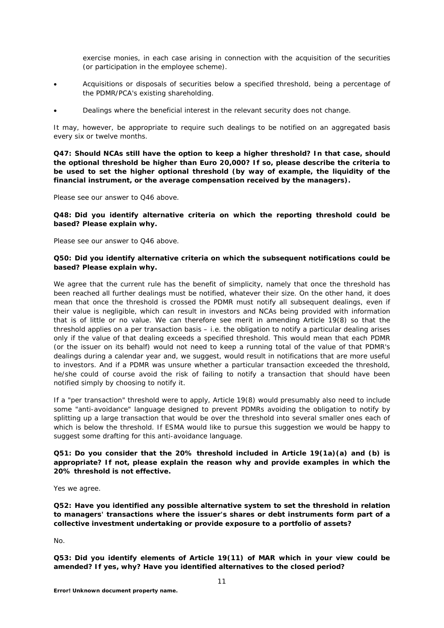exercise monies, in each case arising in connection with the acquisition of the securities (or participation in the employee scheme).

- Acquisitions or disposals of securities below a specified threshold, being a percentage of the PDMR/PCA's existing shareholding.
- Dealings where the beneficial interest in the relevant security does not change.

It may, however, be appropriate to require such dealings to be notified on an aggregated basis every six or twelve months.

**Q47: Should NCAs still have the option to keep a higher threshold? In that case, should the optional threshold be higher than Euro 20,000? If so, please describe the criteria to be used to set the higher optional threshold (by way of example, the liquidity of the financial instrument, or the average compensation received by the managers).** 

Please see our answer to Q46 above.

### **Q48: Did you identify alternative criteria on which the reporting threshold could be based? Please explain why.**

Please see our answer to Q46 above.

### **Q50: Did you identify alternative criteria on which the subsequent notifications could be based? Please explain why.**

We agree that the current rule has the benefit of simplicity, namely that once the threshold has been reached all further dealings must be notified, whatever their size. On the other hand, it does mean that once the threshold is crossed the PDMR must notify all subsequent dealings, even if their value is negligible, which can result in investors and NCAs being provided with information that is of little or no value. We can therefore see merit in amending Article 19(8) so that the threshold applies on a per transaction basis – i.e. the obligation to notify a particular dealing arises only if the value of that dealing exceeds a specified threshold. This would mean that each PDMR (or the issuer on its behalf) would not need to keep a running total of the value of that PDMR's dealings during a calendar year and, we suggest, would result in notifications that are more useful to investors. And if a PDMR was unsure whether a particular transaction exceeded the threshold, he/she could of course avoid the risk of failing to notify a transaction that should have been notified simply by choosing to notify it.

If a "per transaction" threshold were to apply, Article 19(8) would presumably also need to include some "anti-avoidance" language designed to prevent PDMRs avoiding the obligation to notify by splitting up a large transaction that would be over the threshold into several smaller ones each of which is below the threshold. If ESMA would like to pursue this suggestion we would be happy to suggest some drafting for this anti-avoidance language.

### **Q51: Do you consider that the 20% threshold included in Article 19(1a)(a) and (b) is appropriate? If not, please explain the reason why and provide examples in which the 20% threshold is not effective.**

Yes we agree.

**Q52: Have you identified any possible alternative system to set the threshold in relation to managers' transactions where the issuer's shares or debt instruments form part of a collective investment undertaking or provide exposure to a portfolio of assets?**

No.

**Q53: Did you identify elements of Article 19(11) of MAR which in your view could be amended? If yes, why? Have you identified alternatives to the closed period?**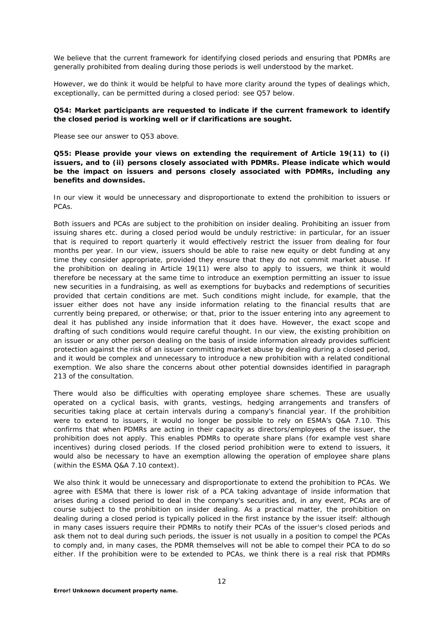We believe that the current framework for identifying closed periods and ensuring that PDMRs are generally prohibited from dealing during those periods is well understood by the market.

However, we do think it would be helpful to have more clarity around the types of dealings which, exceptionally, can be permitted during a closed period: see Q57 below.

### **Q54: Market participants are requested to indicate if the current framework to identify the closed period is working well or if clarifications are sought.**

Please see our answer to Q53 above.

**Q55: Please provide your views on extending the requirement of Article 19(11) to (i) issuers, and to (ii) persons closely associated with PDMRs. Please indicate which would be the impact on issuers and persons closely associated with PDMRs, including any benefits and downsides.**

In our view it would be unnecessary and disproportionate to extend the prohibition to issuers or PCAs.

Both issuers and PCAs are subject to the prohibition on insider dealing. Prohibiting an issuer from issuing shares etc. during a closed period would be unduly restrictive: in particular, for an issuer that is required to report quarterly it would effectively restrict the issuer from dealing for four months per year. In our view, issuers should be able to raise new equity or debt funding at any time they consider appropriate, provided they ensure that they do not commit market abuse. If the prohibition on dealing in Article 19(11) were also to apply to issuers, we think it would therefore be necessary at the same time to introduce an exemption permitting an issuer to issue new securities in a fundraising, as well as exemptions for buybacks and redemptions of securities provided that certain conditions are met. Such conditions might include, for example, that the issuer either does not have any inside information relating to the financial results that are currently being prepared, or otherwise; or that, prior to the issuer entering into any agreement to deal it has published any inside information that it does have. However, the exact scope and drafting of such conditions would require careful thought. In our view, the existing prohibition on an issuer or any other person dealing on the basis of inside information already provides sufficient protection against the risk of an issuer committing market abuse by dealing during a closed period, and it would be complex and unnecessary to introduce a new prohibition with a related conditional exemption. We also share the concerns about other potential downsides identified in paragraph 213 of the consultation.

There would also be difficulties with operating employee share schemes. These are usually operated on a cyclical basis, with grants, vestings, hedging arrangements and transfers of securities taking place at certain intervals during a company's financial year. If the prohibition were to extend to issuers, it would no longer be possible to rely on ESMA's Q&A 7.10. This confirms that when PDMRs are acting in their capacity as directors/employees of the issuer, the prohibition does not apply. This enables PDMRs to operate share plans (for example vest share incentives) during closed periods. If the closed period prohibition were to extend to issuers, it would also be necessary to have an exemption allowing the operation of employee share plans (within the ESMA Q&A 7.10 context).

We also think it would be unnecessary and disproportionate to extend the prohibition to PCAs. We agree with ESMA that there is lower risk of a PCA taking advantage of inside information that arises during a closed period to deal in the company's securities and, in any event, PCAs are of course subject to the prohibition on insider dealing. As a practical matter, the prohibition on dealing during a closed period is typically policed in the first instance by the issuer itself: although in many cases issuers require their PDMRs to notify their PCAs of the issuer's closed periods and ask them not to deal during such periods, the issuer is not usually in a position to compel the PCAs to comply and, in many cases, the PDMR themselves will not be able to compel their PCA to do so either. If the prohibition were to be extended to PCAs, we think there is a real risk that PDMRs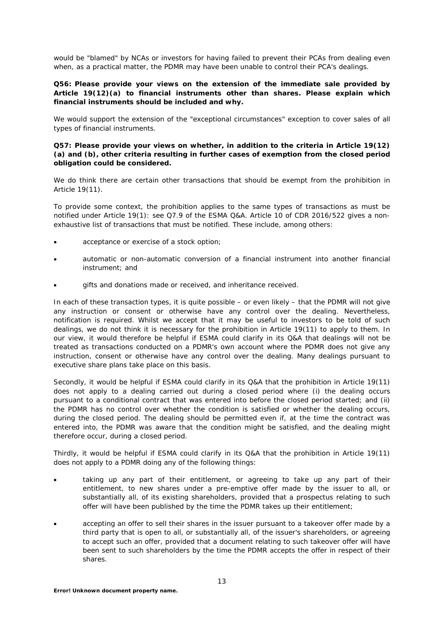would be "blamed" by NCAs or investors for having failed to prevent their PCAs from dealing even when, as a practical matter, the PDMR may have been unable to control their PCA's dealings.

### **Q56: Please provide your views on the extension of the immediate sale provided by Article 19(12)(a) to financial instruments other than shares. Please explain which financial instruments should be included and why.**

We would support the extension of the "exceptional circumstances" exception to cover sales of all types of financial instruments.

### **Q57: Please provide your views on whether, in addition to the criteria in Article 19(12) (a) and (b), other criteria resulting in further cases of exemption from the closed period obligation could be considered.**

We do think there are certain other transactions that should be exempt from the prohibition in Article 19(11).

To provide some context, the prohibition applies to the same types of transactions as must be notified under Article 19(1): see Q7.9 of the ESMA Q&A. Article 10 of CDR 2016/522 gives a nonexhaustive list of transactions that must be notified. These include, among others:

- acceptance or exercise of a stock option;
- automatic or non-automatic conversion of a financial instrument into another financial instrument; and
- gifts and donations made or received, and inheritance received.

In each of these transaction types, it is quite possible – or even likely – that the PDMR will not give any instruction or consent or otherwise have any control over the dealing. Nevertheless, notification is required. Whilst we accept that it may be useful to investors to be told of such dealings, we do not think it is necessary for the prohibition in Article 19(11) to apply to them. In our view, it would therefore be helpful if ESMA could clarify in its Q&A that dealings will not be treated as transactions conducted on a PDMR's own account where the PDMR does not give any instruction, consent or otherwise have any control over the dealing. Many dealings pursuant to executive share plans take place on this basis.

Secondly, it would be helpful if ESMA could clarify in its Q&A that the prohibition in Article 19(11) does not apply to a dealing carried out during a closed period where (i) the dealing occurs pursuant to a conditional contract that was entered into before the closed period started; and (ii) the PDMR has no control over whether the condition is satisfied or whether the dealing occurs, during the closed period. The dealing should be permitted even if, at the time the contract was entered into, the PDMR was aware that the condition might be satisfied, and the dealing might therefore occur, during a closed period.

Thirdly, it would be helpful if ESMA could clarify in its Q&A that the prohibition in Article 19(11) does not apply to a PDMR doing any of the following things:

- taking up any part of their entitlement, or agreeing to take up any part of their entitlement, to new shares under a pre-emptive offer made by the issuer to all, or substantially all, of its existing shareholders, provided that a prospectus relating to such offer will have been published by the time the PDMR takes up their entitlement;
- accepting an offer to sell their shares in the issuer pursuant to a takeover offer made by a third party that is open to all, or substantially all, of the issuer's shareholders, or agreeing to accept such an offer, provided that a document relating to such takeover offer will have been sent to such shareholders by the time the PDMR accepts the offer in respect of their shares.